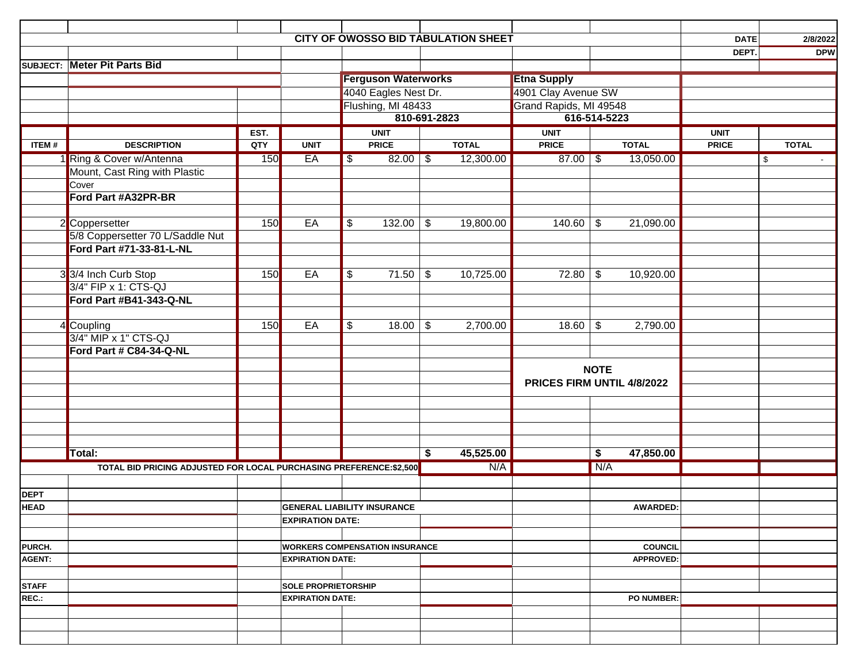|              |                                                                    |      |                                                                  |                                    |                            |               | <b>CITY OF OWOSSO BID TABULATION SHEET</b> |                            |             |                   | <b>DATE</b>  |              | 2/8/2022   |
|--------------|--------------------------------------------------------------------|------|------------------------------------------------------------------|------------------------------------|----------------------------|---------------|--------------------------------------------|----------------------------|-------------|-------------------|--------------|--------------|------------|
|              |                                                                    |      |                                                                  |                                    |                            |               |                                            |                            |             |                   | DEPT.        |              | <b>DPW</b> |
|              | <b>SUBJECT: Meter Pit Parts Bid</b>                                |      |                                                                  |                                    |                            |               |                                            |                            |             |                   |              |              |            |
|              |                                                                    |      |                                                                  |                                    | <b>Ferguson Waterworks</b> |               |                                            | <b>Etna Supply</b>         |             |                   |              |              |            |
|              |                                                                    |      |                                                                  |                                    | 4040 Eagles Nest Dr.       |               |                                            | 4901 Clay Avenue SW        |             |                   |              |              |            |
|              |                                                                    |      |                                                                  | Flushing, MI 48433                 |                            |               |                                            | Grand Rapids, MI 49548     |             |                   |              |              |            |
|              |                                                                    |      |                                                                  | 810-691-2823                       |                            |               |                                            | 616-514-5223               |             |                   |              |              |            |
|              |                                                                    | EST. |                                                                  |                                    | <b>UNIT</b>                |               |                                            | <b>UNIT</b>                |             |                   | <b>UNIT</b>  |              |            |
| ITEM#        | <b>DESCRIPTION</b>                                                 | QTY  | <b>UNIT</b>                                                      |                                    | <b>PRICE</b>               |               | <b>TOTAL</b>                               | <b>PRICE</b>               |             | <b>TOTAL</b>      | <b>PRICE</b> | <b>TOTAL</b> |            |
|              | 1 Ring & Cover w/Antenna                                           | 150  | EA                                                               | \$                                 | $82.00$ \ \$               |               | 12,300.00                                  | $87.00$ \ \$               |             | 13,050.00         |              | \$           |            |
|              | Mount, Cast Ring with Plastic                                      |      |                                                                  |                                    |                            |               |                                            |                            |             |                   |              |              |            |
|              | Cover                                                              |      |                                                                  |                                    |                            |               |                                            |                            |             |                   |              |              |            |
|              | Ford Part #A32PR-BR                                                |      |                                                                  |                                    |                            |               |                                            |                            |             |                   |              |              |            |
|              |                                                                    |      |                                                                  |                                    |                            |               |                                            |                            |             |                   |              |              |            |
|              | 2 Coppersetter                                                     | 150  | EA                                                               | \$                                 | $132.00$ \ \$              |               | 19,800.00                                  | 140.60                     | \$          | 21,090.00         |              |              |            |
|              | 5/8 Coppersetter 70 L/Saddle Nut                                   |      |                                                                  |                                    |                            |               |                                            |                            |             |                   |              |              |            |
|              | Ford Part #71-33-81-L-NL                                           |      |                                                                  |                                    |                            |               |                                            |                            |             |                   |              |              |            |
|              |                                                                    |      |                                                                  |                                    |                            |               |                                            |                            |             |                   |              |              |            |
|              | 33/4 Inch Curb Stop                                                | 150  | EA                                                               | \$                                 | 71.50                      | $\frac{1}{2}$ | 10,725.00                                  | 72.80                      | \$          | 10,920.00         |              |              |            |
|              | 3/4" FIP x 1: CTS-QJ                                               |      |                                                                  |                                    |                            |               |                                            |                            |             |                   |              |              |            |
|              | Ford Part #B41-343-Q-NL                                            |      |                                                                  |                                    |                            |               |                                            |                            |             |                   |              |              |            |
|              |                                                                    |      | EA                                                               |                                    |                            |               |                                            |                            |             |                   |              |              |            |
|              | 4 Coupling<br>3/4" MIP x 1" CTS-QJ                                 | 150  |                                                                  | \$                                 | 18.00                      | $\frac{1}{2}$ | 2,700.00                                   | 18.60                      | \$          | 2,790.00          |              |              |            |
|              | Ford Part # C84-34-Q-NL                                            |      |                                                                  |                                    |                            |               |                                            |                            |             |                   |              |              |            |
|              |                                                                    |      |                                                                  |                                    |                            |               |                                            |                            |             |                   |              |              |            |
|              |                                                                    |      |                                                                  |                                    |                            |               |                                            |                            | <b>NOTE</b> |                   |              |              |            |
|              |                                                                    |      |                                                                  |                                    |                            |               |                                            | PRICES FIRM UNTIL 4/8/2022 |             |                   |              |              |            |
|              |                                                                    |      |                                                                  |                                    |                            |               |                                            |                            |             |                   |              |              |            |
|              |                                                                    |      |                                                                  |                                    |                            |               |                                            |                            |             |                   |              |              |            |
|              |                                                                    |      |                                                                  |                                    |                            |               |                                            |                            |             |                   |              |              |            |
|              |                                                                    |      |                                                                  |                                    |                            |               |                                            |                            |             |                   |              |              |            |
|              | Total:                                                             |      |                                                                  |                                    |                            | \$            | 45,525.00                                  |                            | \$          | 47,850.00         |              |              |            |
|              | TOTAL BID PRICING ADJUSTED FOR LOCAL PURCHASING PREFERENCE:\$2,500 |      |                                                                  |                                    |                            |               | N/A                                        |                            | N/A         |                   |              |              |            |
|              |                                                                    |      |                                                                  |                                    |                            |               |                                            |                            |             |                   |              |              |            |
| <b>DEPT</b>  |                                                                    |      |                                                                  |                                    |                            |               |                                            |                            |             |                   |              |              |            |
| <b>HEAD</b>  |                                                                    |      |                                                                  | <b>GENERAL LIABILITY INSURANCE</b> |                            |               |                                            |                            | AWARDED:    |                   |              |              |            |
|              |                                                                    |      | <b>EXPIRATION DATE:</b>                                          |                                    |                            |               |                                            |                            |             |                   |              |              |            |
|              |                                                                    |      |                                                                  |                                    |                            |               |                                            |                            |             |                   |              |              |            |
| PURCH.       |                                                                    |      |                                                                  |                                    |                            |               |                                            |                            |             | <b>COUNCIL</b>    |              |              |            |
| AGENT:       |                                                                    |      | <b>WORKERS COMPENSATION INSURANCE</b><br><b>EXPIRATION DATE:</b> |                                    |                            |               |                                            | <b>APPROVED:</b>           |             |                   |              |              |            |
|              |                                                                    |      |                                                                  |                                    |                            |               |                                            |                            |             |                   |              |              |            |
| <b>STAFF</b> |                                                                    |      | <b>SOLE PROPRIETORSHIP</b>                                       |                                    |                            |               |                                            |                            |             |                   |              |              |            |
| REC.:        |                                                                    |      | <b>EXPIRATION DATE:</b>                                          |                                    |                            |               |                                            |                            |             | <b>PO NUMBER:</b> |              |              |            |
|              |                                                                    |      |                                                                  |                                    |                            |               |                                            |                            |             |                   |              |              |            |
|              |                                                                    |      |                                                                  |                                    |                            |               |                                            |                            |             |                   |              |              |            |
|              |                                                                    |      |                                                                  |                                    |                            |               |                                            |                            |             |                   |              |              |            |
|              |                                                                    |      |                                                                  |                                    |                            |               |                                            |                            |             |                   |              |              |            |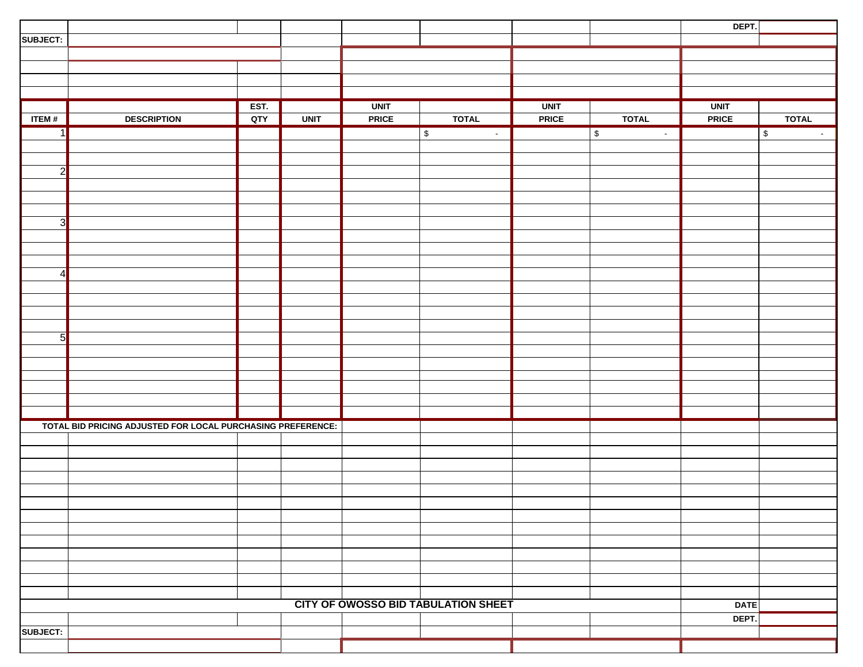|                |                                                             |      |             |              |                                            |              |                     | DEPT.        |                                            |
|----------------|-------------------------------------------------------------|------|-------------|--------------|--------------------------------------------|--------------|---------------------|--------------|--------------------------------------------|
| SUBJECT:       |                                                             |      |             |              |                                            |              |                     |              |                                            |
|                |                                                             |      |             |              |                                            |              |                     |              |                                            |
|                |                                                             |      |             |              |                                            |              |                     |              |                                            |
|                |                                                             |      |             |              |                                            |              |                     |              |                                            |
|                |                                                             |      |             |              |                                            |              |                     |              |                                            |
|                |                                                             | EST. |             | <b>UNIT</b>  |                                            | <b>UNIT</b>  |                     | <b>UNIT</b>  |                                            |
| ITEM#          | <b>DESCRIPTION</b>                                          | QTY  | <b>UNIT</b> | <b>PRICE</b> | <b>TOTAL</b>                               | <b>PRICE</b> | <b>TOTAL</b>        | <b>PRICE</b> | <b>TOTAL</b>                               |
| 11             |                                                             |      |             |              | $$\mathbb{S}$$<br>$\sim$                   |              | $\,$ $\,$<br>$\sim$ |              | $\overline{\mathcal{S}}$<br>$\sim$ $^{-1}$ |
|                |                                                             |      |             |              |                                            |              |                     |              |                                            |
|                |                                                             |      |             |              |                                            |              |                     |              |                                            |
| $\overline{2}$ |                                                             |      |             |              |                                            |              |                     |              |                                            |
|                |                                                             |      |             |              |                                            |              |                     |              |                                            |
|                |                                                             |      |             |              |                                            |              |                     |              |                                            |
|                |                                                             |      |             |              |                                            |              |                     |              |                                            |
| $\overline{3}$ |                                                             |      |             |              |                                            |              |                     |              |                                            |
|                |                                                             |      |             |              |                                            |              |                     |              |                                            |
|                |                                                             |      |             |              |                                            |              |                     |              |                                            |
|                |                                                             |      |             |              |                                            |              |                     |              |                                            |
| $\vert$        |                                                             |      |             |              |                                            |              |                     |              |                                            |
|                |                                                             |      |             |              |                                            |              |                     |              |                                            |
|                |                                                             |      |             |              |                                            |              |                     |              |                                            |
|                |                                                             |      |             |              |                                            |              |                     |              |                                            |
|                |                                                             |      |             |              |                                            |              |                     |              |                                            |
| 5              |                                                             |      |             |              |                                            |              |                     |              |                                            |
|                |                                                             |      |             |              |                                            |              |                     |              |                                            |
|                |                                                             |      |             |              |                                            |              |                     |              |                                            |
|                |                                                             |      |             |              |                                            |              |                     |              |                                            |
|                |                                                             |      |             |              |                                            |              |                     |              |                                            |
|                |                                                             |      |             |              |                                            |              |                     |              |                                            |
|                | TOTAL BID PRICING ADJUSTED FOR LOCAL PURCHASING PREFERENCE: |      |             |              |                                            |              |                     |              |                                            |
|                |                                                             |      |             |              |                                            |              |                     |              |                                            |
|                |                                                             |      |             |              |                                            |              |                     |              |                                            |
|                |                                                             |      |             |              |                                            |              |                     |              |                                            |
|                |                                                             |      |             |              |                                            |              |                     |              |                                            |
|                |                                                             |      |             |              |                                            |              |                     |              |                                            |
|                |                                                             |      |             |              |                                            |              |                     |              |                                            |
|                |                                                             |      |             |              |                                            |              |                     |              |                                            |
|                |                                                             |      |             |              |                                            |              |                     |              |                                            |
|                |                                                             |      |             |              |                                            |              |                     |              |                                            |
|                |                                                             |      |             |              |                                            |              |                     |              |                                            |
|                |                                                             |      |             |              |                                            |              |                     |              |                                            |
|                |                                                             |      |             |              |                                            |              |                     |              |                                            |
|                |                                                             |      |             |              |                                            |              |                     |              |                                            |
|                |                                                             |      |             |              | <b>CITY OF OWOSSO BID TABULATION SHEET</b> |              |                     | DATE         |                                            |
|                |                                                             |      |             |              |                                            |              |                     | DEPT.        |                                            |
| SUBJECT:       |                                                             |      |             |              |                                            |              |                     |              |                                            |
|                |                                                             |      |             |              |                                            |              |                     |              |                                            |